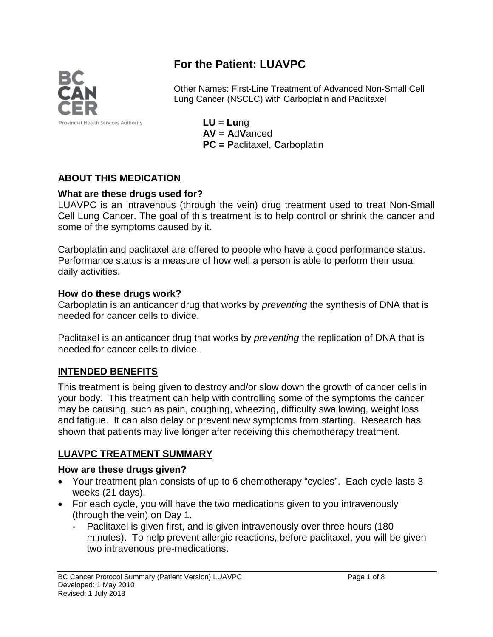

# **For the Patient: LUAVPC**

Other Names: First-Line Treatment of Advanced Non-Small Cell Lung Cancer (NSCLC) with Carboplatin and Paclitaxel

> **LU = Lu**ng **AV = A**d**V**anced **PC = P**aclitaxel, **C**arboplatin

## **ABOUT THIS MEDICATION**

#### **What are these drugs used for?**

LUAVPC is an intravenous (through the vein) drug treatment used to treat Non-Small Cell Lung Cancer. The goal of this treatment is to help control or shrink the cancer and some of the symptoms caused by it.

Carboplatin and paclitaxel are offered to people who have a good performance status. Performance status is a measure of how well a person is able to perform their usual daily activities.

#### **How do these drugs work?**

Carboplatin is an anticancer drug that works by *preventing* the synthesis of DNA that is needed for cancer cells to divide.

Paclitaxel is an anticancer drug that works by *preventing* the replication of DNA that is needed for cancer cells to divide.

#### **INTENDED BENEFITS**

This treatment is being given to destroy and/or slow down the growth of cancer cells in your body. This treatment can help with controlling some of the symptoms the cancer may be causing, such as pain, coughing, wheezing, difficulty swallowing, weight loss and fatigue. It can also delay or prevent new symptoms from starting. Research has shown that patients may live longer after receiving this chemotherapy treatment.

#### **LUAVPC TREATMENT SUMMARY**

#### **How are these drugs given?**

- Your treatment plan consists of up to 6 chemotherapy "cycles". Each cycle lasts 3 weeks (21 days).
- For each cycle, you will have the two medications given to you intravenously (through the vein) on Day 1.
	- **-** Paclitaxel is given first, and is given intravenously over three hours (180 minutes). To help prevent allergic reactions, before paclitaxel, you will be given two intravenous pre-medications.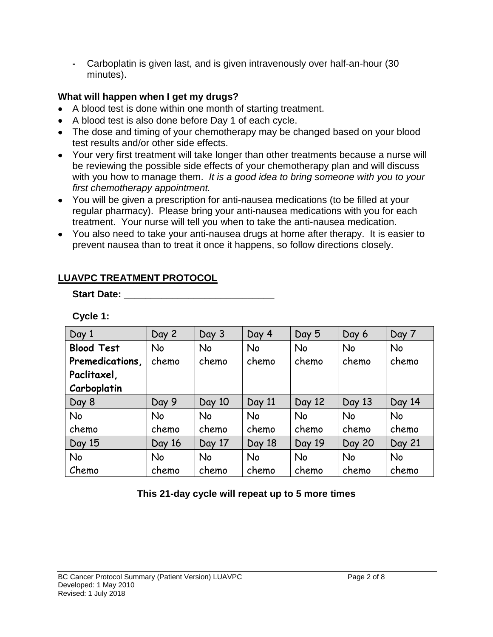**-** Carboplatin is given last, and is given intravenously over half-an-hour (30 minutes).

## **What will happen when I get my drugs?**

- A blood test is done within one month of starting treatment.
- A blood test is also done before Day 1 of each cycle.
- The dose and timing of your chemotherapy may be changed based on your blood test results and/or other side effects.
- Your very first treatment will take longer than other treatments because a nurse will be reviewing the possible side effects of your chemotherapy plan and will discuss with you how to manage them. *It is a good idea to bring someone with you to your first chemotherapy appointment.*
- You will be given a prescription for anti-nausea medications (to be filled at your regular pharmacy). Please bring your anti-nausea medications with you for each treatment. Your nurse will tell you when to take the anti-nausea medication.
- You also need to take your anti-nausea drugs at home after therapy. It is easier to prevent nausea than to treat it once it happens, so follow directions closely.

| Day 1             | Day 2     | Day 3     | Day 4     | Day 5     | Day 6         | Day 7     |
|-------------------|-----------|-----------|-----------|-----------|---------------|-----------|
| <b>Blood Test</b> | <b>No</b> | <b>No</b> | <b>No</b> | No        | <b>No</b>     | <b>No</b> |
| Premedications,   | chemo     | chemo     | chemo     | chemo     | chemo         | chemo     |
| Paclitaxel,       |           |           |           |           |               |           |
| Carboplatin       |           |           |           |           |               |           |
| Day 8             | Day 9     | Day 10    | Day 11    | Day 12    | Day 13        | Day 14    |
| <b>No</b>         | <b>No</b> | <b>No</b> | <b>No</b> | <b>No</b> | <b>No</b>     | <b>No</b> |
| chemo             | chemo     | chemo     | chemo     | chemo     | chemo         | chemo     |
| Day 15            | Day 16    | Day 17    | Day 18    | Day 19    | <b>Day 20</b> | Day 21    |
| <b>No</b>         | <b>No</b> | <b>No</b> | No        | No        | <b>No</b>     | <b>No</b> |
| Chemo             | chemo     | chemo     | chemo     | chemo     | chemo         | chemo     |

## **LUAVPC TREATMENT PROTOCOL**

**Start Date: Constant Date: Constant Date:** 

**Cycle 1:**

## **This 21-day cycle will repeat up to 5 more times**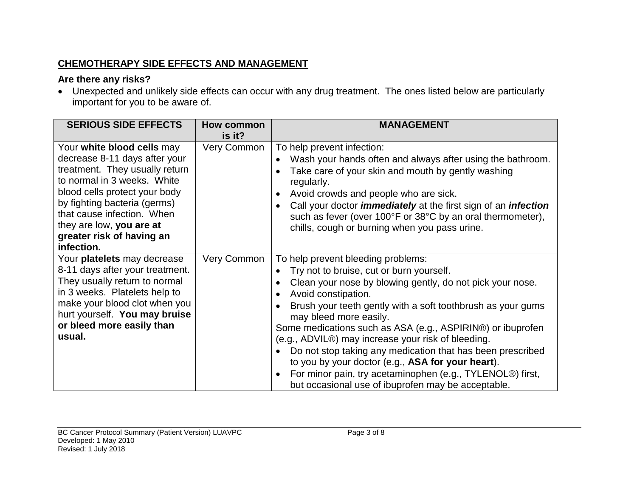#### **CHEMOTHERAPY SIDE EFFECTS AND MANAGEMENT**

#### **Are there any risks?**

• Unexpected and unlikely side effects can occur with any drug treatment. The ones listed below are particularly important for you to be aware of.

| <b>SERIOUS SIDE EFFECTS</b>                                                                                                                                                                                                                                                                        | How common<br>is it? | <b>MANAGEMENT</b>                                                                                                                                                                                                                                                                                                                                                                                                                                                                                                                                                                                                                                            |
|----------------------------------------------------------------------------------------------------------------------------------------------------------------------------------------------------------------------------------------------------------------------------------------------------|----------------------|--------------------------------------------------------------------------------------------------------------------------------------------------------------------------------------------------------------------------------------------------------------------------------------------------------------------------------------------------------------------------------------------------------------------------------------------------------------------------------------------------------------------------------------------------------------------------------------------------------------------------------------------------------------|
| Your white blood cells may<br>decrease 8-11 days after your<br>treatment. They usually return<br>to normal in 3 weeks. White<br>blood cells protect your body<br>by fighting bacteria (germs)<br>that cause infection. When<br>they are low, you are at<br>greater risk of having an<br>infection. | <b>Very Common</b>   | To help prevent infection:<br>Wash your hands often and always after using the bathroom.<br>Take care of your skin and mouth by gently washing<br>regularly.<br>Avoid crowds and people who are sick.<br>Call your doctor <i>immediately</i> at the first sign of an <i>infection</i><br>$\bullet$<br>such as fever (over 100°F or 38°C by an oral thermometer),<br>chills, cough or burning when you pass urine.                                                                                                                                                                                                                                            |
| Your platelets may decrease<br>8-11 days after your treatment.<br>They usually return to normal<br>in 3 weeks. Platelets help to<br>make your blood clot when you<br>hurt yourself. You may bruise<br>or bleed more easily than<br>usual.                                                          | <b>Very Common</b>   | To help prevent bleeding problems:<br>Try not to bruise, cut or burn yourself.<br>Clean your nose by blowing gently, do not pick your nose.<br>$\bullet$<br>Avoid constipation.<br>$\bullet$<br>Brush your teeth gently with a soft toothbrush as your gums<br>may bleed more easily.<br>Some medications such as ASA (e.g., ASPIRIN®) or ibuprofen<br>(e.g., ADVIL®) may increase your risk of bleeding.<br>Do not stop taking any medication that has been prescribed<br>$\bullet$<br>to you by your doctor (e.g., ASA for your heart).<br>For minor pain, try acetaminophen (e.g., TYLENOL®) first,<br>but occasional use of ibuprofen may be acceptable. |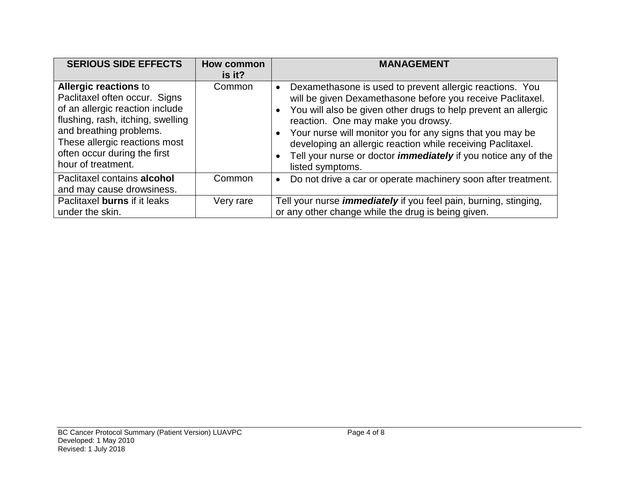| <b>SERIOUS SIDE EFFECTS</b>                                                                                                                                                                                                                             | <b>How common</b><br>is it? | <b>MANAGEMENT</b>                                                                                                                                                                                                                                                                                                                                                                                                                                                                              |
|---------------------------------------------------------------------------------------------------------------------------------------------------------------------------------------------------------------------------------------------------------|-----------------------------|------------------------------------------------------------------------------------------------------------------------------------------------------------------------------------------------------------------------------------------------------------------------------------------------------------------------------------------------------------------------------------------------------------------------------------------------------------------------------------------------|
| <b>Allergic reactions to</b><br>Paclitaxel often occur. Signs<br>of an allergic reaction include<br>flushing, rash, itching, swelling<br>and breathing problems.<br>These allergic reactions most<br>often occur during the first<br>hour of treatment. | Common                      | Dexamethasone is used to prevent allergic reactions. You<br>$\bullet$<br>will be given Dexamethasone before you receive Paclitaxel.<br>You will also be given other drugs to help prevent an allergic<br>reaction. One may make you drowsy.<br>Your nurse will monitor you for any signs that you may be<br>$\bullet$<br>developing an allergic reaction while receiving Paclitaxel.<br>Tell your nurse or doctor <i>immediately</i> if you notice any of the<br>$\bullet$<br>listed symptoms. |
| Paclitaxel contains alcohol<br>and may cause drowsiness.                                                                                                                                                                                                | Common                      | Do not drive a car or operate machinery soon after treatment.<br>$\bullet$                                                                                                                                                                                                                                                                                                                                                                                                                     |
| Paclitaxel burns if it leaks<br>under the skin.                                                                                                                                                                                                         | Very rare                   | Tell your nurse <i>immediately</i> if you feel pain, burning, stinging,<br>or any other change while the drug is being given.                                                                                                                                                                                                                                                                                                                                                                  |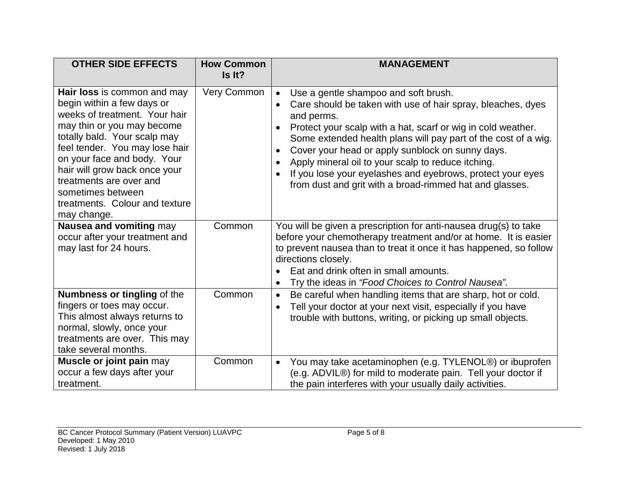| <b>OTHER SIDE EFFECTS</b>                                                                                                                                                                                                                                                                                                                                   | <b>How Common</b><br>Is It? | <b>MANAGEMENT</b>                                                                                                                                                                                                                                                                                                                                                                                                                                                                                                                                       |
|-------------------------------------------------------------------------------------------------------------------------------------------------------------------------------------------------------------------------------------------------------------------------------------------------------------------------------------------------------------|-----------------------------|---------------------------------------------------------------------------------------------------------------------------------------------------------------------------------------------------------------------------------------------------------------------------------------------------------------------------------------------------------------------------------------------------------------------------------------------------------------------------------------------------------------------------------------------------------|
| Hair loss is common and may<br>begin within a few days or<br>weeks of treatment. Your hair<br>may thin or you may become<br>totally bald. Your scalp may<br>feel tender. You may lose hair<br>on your face and body. Your<br>hair will grow back once your<br>treatments are over and<br>sometimes between<br>treatments. Colour and texture<br>may change. | <b>Very Common</b>          | Use a gentle shampoo and soft brush.<br>$\bullet$<br>Care should be taken with use of hair spray, bleaches, dyes<br>and perms.<br>Protect your scalp with a hat, scarf or wig in cold weather.<br>$\bullet$<br>Some extended health plans will pay part of the cost of a wig.<br>Cover your head or apply sunblock on sunny days.<br>$\bullet$<br>Apply mineral oil to your scalp to reduce itching.<br>$\bullet$<br>If you lose your eyelashes and eyebrows, protect your eyes<br>$\bullet$<br>from dust and grit with a broad-rimmed hat and glasses. |
| Nausea and vomiting may<br>occur after your treatment and<br>may last for 24 hours.                                                                                                                                                                                                                                                                         | Common                      | You will be given a prescription for anti-nausea drug(s) to take<br>before your chemotherapy treatment and/or at home. It is easier<br>to prevent nausea than to treat it once it has happened, so follow<br>directions closely.<br>Eat and drink often in small amounts.<br>Try the ideas in "Food Choices to Control Nausea".<br>$\bullet$                                                                                                                                                                                                            |
| Numbness or tingling of the<br>fingers or toes may occur.<br>This almost always returns to<br>normal, slowly, once your<br>treatments are over. This may<br>take several months.                                                                                                                                                                            | Common                      | Be careful when handling items that are sharp, hot or cold.<br>$\bullet$<br>Tell your doctor at your next visit, especially if you have<br>$\bullet$<br>trouble with buttons, writing, or picking up small objects.                                                                                                                                                                                                                                                                                                                                     |
| Muscle or joint pain may<br>occur a few days after your<br>treatment.                                                                                                                                                                                                                                                                                       | Common                      | You may take acetaminophen (e.g. TYLENOL®) or ibuprofen<br>$\bullet$<br>(e.g. ADVIL®) for mild to moderate pain. Tell your doctor if<br>the pain interferes with your usually daily activities.                                                                                                                                                                                                                                                                                                                                                         |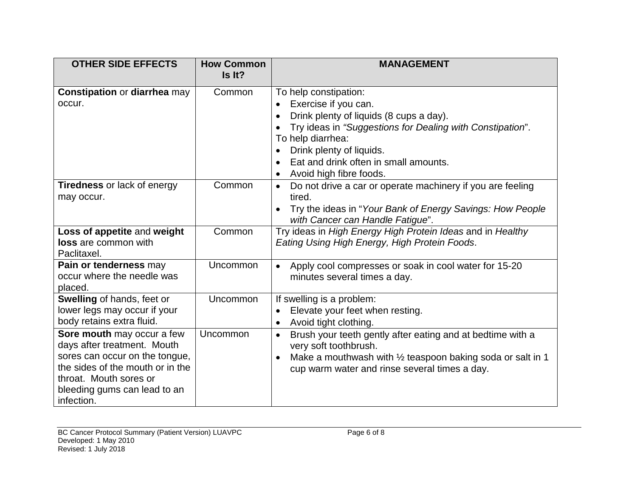| <b>OTHER SIDE EFFECTS</b>                                                                                                                                                                               | <b>How Common</b><br>Is It? | <b>MANAGEMENT</b>                                                                                                                                                                                                                                                                      |
|---------------------------------------------------------------------------------------------------------------------------------------------------------------------------------------------------------|-----------------------------|----------------------------------------------------------------------------------------------------------------------------------------------------------------------------------------------------------------------------------------------------------------------------------------|
| <b>Constipation or diarrhea may</b><br>occur.                                                                                                                                                           | Common                      | To help constipation:<br>Exercise if you can.<br>$\bullet$<br>Drink plenty of liquids (8 cups a day).<br>$\bullet$<br>Try ideas in "Suggestions for Dealing with Constipation".<br>To help diarrhea:<br>Drink plenty of liquids.<br>Eat and drink often in small amounts.<br>$\bullet$ |
| <b>Tiredness</b> or lack of energy                                                                                                                                                                      | Common                      | Avoid high fibre foods.<br>Do not drive a car or operate machinery if you are feeling<br>$\bullet$                                                                                                                                                                                     |
| may occur.                                                                                                                                                                                              |                             | tired.<br>Try the ideas in "Your Bank of Energy Savings: How People<br>with Cancer can Handle Fatigue".                                                                                                                                                                                |
| Loss of appetite and weight<br><b>loss</b> are common with<br>Paclitaxel.                                                                                                                               | Common                      | Try ideas in High Energy High Protein Ideas and in Healthy<br>Eating Using High Energy, High Protein Foods.                                                                                                                                                                            |
| Pain or tenderness may<br>occur where the needle was<br>placed.                                                                                                                                         | Uncommon                    | Apply cool compresses or soak in cool water for 15-20<br>$\bullet$<br>minutes several times a day.                                                                                                                                                                                     |
| Swelling of hands, feet or<br>lower legs may occur if your<br>body retains extra fluid.                                                                                                                 | Uncommon                    | If swelling is a problem:<br>Elevate your feet when resting.<br>$\bullet$<br>Avoid tight clothing.<br>$\bullet$                                                                                                                                                                        |
| Sore mouth may occur a few<br>days after treatment. Mouth<br>sores can occur on the tongue,<br>the sides of the mouth or in the<br>throat. Mouth sores or<br>bleeding gums can lead to an<br>infection. | Uncommon                    | Brush your teeth gently after eating and at bedtime with a<br>$\bullet$<br>very soft toothbrush.<br>Make a mouthwash with $\frac{1}{2}$ teaspoon baking soda or salt in 1<br>$\bullet$<br>cup warm water and rinse several times a day.                                                |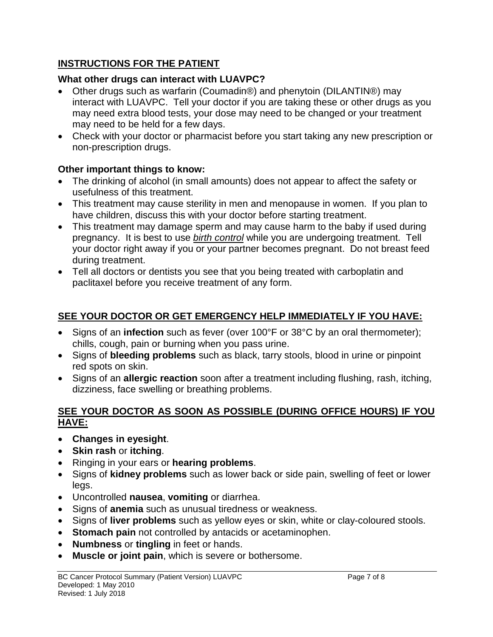## **INSTRUCTIONS FOR THE PATIENT**

# **What other drugs can interact with LUAVPC?**

- Other drugs such as warfarin (Coumadin®) and phenytoin (DILANTIN®) may interact with LUAVPC. Tell your doctor if you are taking these or other drugs as you may need extra blood tests, your dose may need to be changed or your treatment may need to be held for a few days.
- Check with your doctor or pharmacist before you start taking any new prescription or non-prescription drugs.

# **Other important things to know:**

- The drinking of alcohol (in small amounts) does not appear to affect the safety or usefulness of this treatment.
- This treatment may cause sterility in men and menopause in women. If you plan to have children, discuss this with your doctor before starting treatment.
- This treatment may damage sperm and may cause harm to the baby if used during pregnancy. It is best to use *birth control* while you are undergoing treatment. Tell your doctor right away if you or your partner becomes pregnant. Do not breast feed during treatment.
- Tell all doctors or dentists you see that you being treated with carboplatin and paclitaxel before you receive treatment of any form.

# **SEE YOUR DOCTOR OR GET EMERGENCY HELP IMMEDIATELY IF YOU HAVE:**

- Signs of an **infection** such as fever (over 100°F or 38°C by an oral thermometer); chills, cough, pain or burning when you pass urine.
- Signs of **bleeding problems** such as black, tarry stools, blood in urine or pinpoint red spots on skin.
- Signs of an **allergic reaction** soon after a treatment including flushing, rash, itching, dizziness, face swelling or breathing problems.

#### **SEE YOUR DOCTOR AS SOON AS POSSIBLE (DURING OFFICE HOURS) IF YOU HAVE:**

- **Changes in eyesight**.
- **Skin rash** or **itching**.
- Ringing in your ears or **hearing problems**.
- Signs of **kidney problems** such as lower back or side pain, swelling of feet or lower legs.
- Uncontrolled **nausea**, **vomiting** or diarrhea.
- Signs of **anemia** such as unusual tiredness or weakness.
- Signs of **liver problems** such as yellow eyes or skin, white or clay-coloured stools.
- **Stomach pain** not controlled by antacids or acetaminophen.
- **Numbness** or **tingling** in feet or hands.
- **Muscle or joint pain**, which is severe or bothersome.